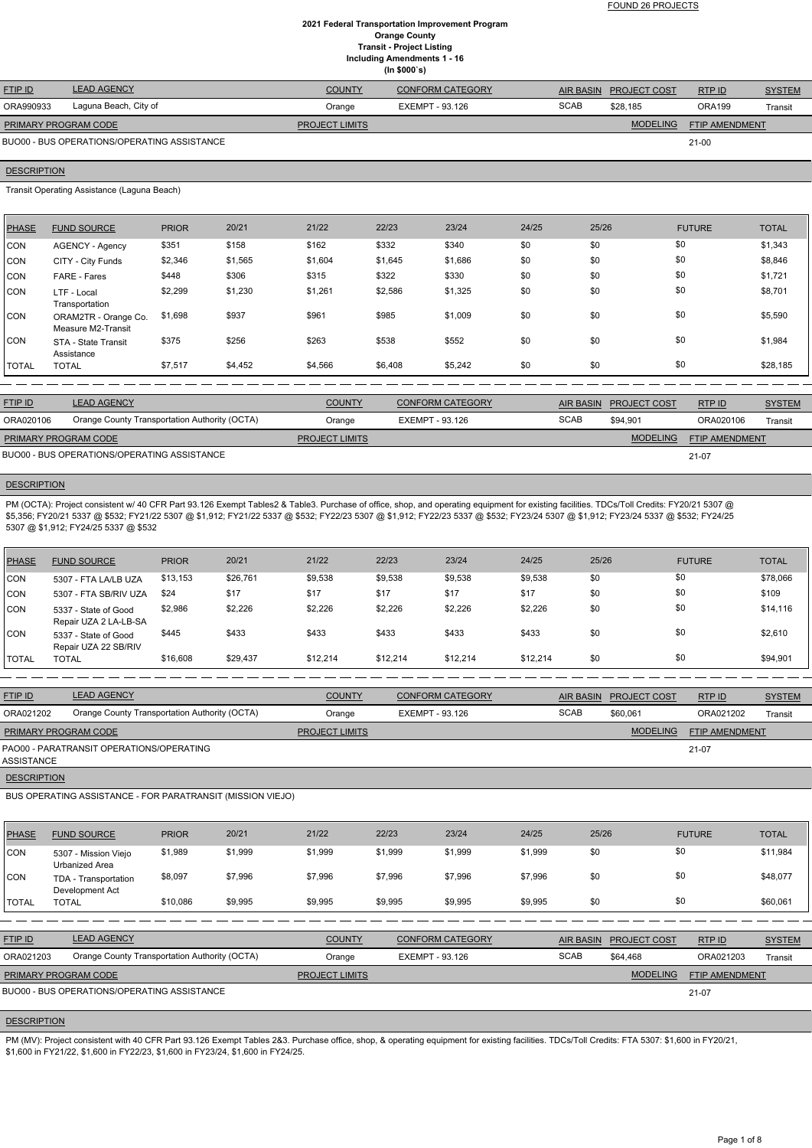FOUND 26 PROJECTS

### **2021 Federal Transportation Improvement Program Orange County Transit - Project Listing Including Amendments 1 - 16 (In \$000`s)**

| <b>FTIP ID</b>              | <b>LEAD AGENCY</b>                          | <b>COUNTY</b>         | <b>CONFORM CATEGORY</b> |             | AIR BASIN PROJECT COST | RTP ID                | <b>SYSTEM</b> |
|-----------------------------|---------------------------------------------|-----------------------|-------------------------|-------------|------------------------|-----------------------|---------------|
| ORA990933                   | Laguna Beach, City of                       | Orange                | EXEMPT - 93.126         | <b>SCAB</b> | \$28,185               | <b>ORA199</b>         | Transit       |
| <b>PRIMARY PROGRAM CODE</b> |                                             | <b>PROJECT LIMITS</b> |                         |             | <b>MODELING</b>        | <b>FTIP AMENDMENT</b> |               |
|                             | BUO00 - BUS OPERATIONS/OPERATING ASSISTANCE |                       |                         |             |                        | $21-00$               |               |

### **DESCRIPTION**

Transit Operating Assistance (Laguna Beach)

| PHASE        | <b>FUND SOURCE</b>                         | <b>PRIOR</b> | 20/21   | 21/22   | 22/23   | 23/24   | 24/25 | 25/26 | <b>FUTURE</b> | <b>TOTAL</b> |
|--------------|--------------------------------------------|--------------|---------|---------|---------|---------|-------|-------|---------------|--------------|
| CON          | AGENCY - Agency                            | \$351        | \$158   | \$162   | \$332   | \$340   | \$0   | \$0   | \$0           | \$1,343      |
| CON          | CITY - City Funds                          | \$2,346      | \$1,565 | \$1,604 | \$1,645 | \$1,686 | \$0   | \$0   | \$0           | \$8,846      |
| CON          | FARE - Fares                               | \$448        | \$306   | \$315   | \$322   | \$330   | \$0   | \$0   | \$0           | \$1,721      |
| CON          | LTF - Local<br>Transportation              | \$2,299      | \$1,230 | \$1,261 | \$2,586 | \$1,325 | \$0   | \$0   | \$0           | \$8,701      |
| CON          | ORAM2TR - Orange Co.<br>Measure M2-Transit | \$1,698      | \$937   | \$961   | \$985   | \$1,009 | \$0   | \$0   | \$0           | \$5,590      |
| CON          | STA - State Transit<br>Assistance          | \$375        | \$256   | \$263   | \$538   | \$552   | \$0   | \$0   | \$0           | \$1,984      |
| <b>TOTAL</b> | <b>TOTAL</b>                               | \$7,517      | \$4,452 | \$4,566 | \$6,408 | \$5,242 | \$0   | \$0   | \$0           | \$28,185     |

PM (OCTA): Project consistent w/ 40 CFR Part 93.126 Exempt Tables2 & Table3. Purchase of office, shop, and operating equipment for existing facilities. TDCs/Toll Credits: FY20/21 5307 @ \$5,356; FY20/21 5337 @ \$532; FY21/22 5307 @ \$1,912; FY21/22 5337 @ \$532; FY22/23 5307 @ \$532; FY23/24 5307 @ \$1,912; FY23/24 5337 @ \$532; FY24/25 5307 @ \$1,912; FY24/25 5337 @ \$532

| <b>FTIP ID</b>              | <b>LEAD AGENCY</b>                            | <b>COUNTY</b>         | <b>CONFORM CATEGORY</b> |             | AIR BASIN PROJECT COST | RTP ID                | <b>SYSTEM</b> |
|-----------------------------|-----------------------------------------------|-----------------------|-------------------------|-------------|------------------------|-----------------------|---------------|
| ORA020106                   | Orange County Transportation Authority (OCTA) | Orange                | EXEMPT - 93.126         | <b>SCAB</b> | \$94.901               | ORA020106             | Transit       |
| <b>PRIMARY PROGRAM CODE</b> |                                               | <b>PROJECT LIMITS</b> |                         |             | <b>MODELING</b>        | <b>FTIP AMENDMENT</b> |               |
|                             | BUO00 - BUS OPERATIONS/OPERATING ASSISTANCE   |                       |                         |             |                        | 21-07                 |               |

### **DESCRIPTION**

PM (MV): Project consistent with 40 CFR Part 93.126 Exempt Tables 2&3. Purchase office, shop, & operating equipment for existing facilities. TDCs/Toll Credits: FTA 5307: \$1,600 in FY20/21, \$1,600 in FY21/22, \$1,600 in FY22/23, \$1,600 in FY23/24, \$1,600 in FY24/25.

| PHASE   | <b>FUND SOURCE</b>                            | <b>PRIOR</b> | 20/21    | 21/22    | 22/23    | 23/24    | 24/25    | 25/26 | <b>FUTURE</b> | <b>TOTAL</b> |
|---------|-----------------------------------------------|--------------|----------|----------|----------|----------|----------|-------|---------------|--------------|
| ICON.   | 5307 - FTA LA/LB UZA                          | \$13,153     | \$26,761 | \$9,538  | \$9,538  | \$9,538  | \$9,538  | \$0   | \$0           | \$78,066     |
| ICON.   | 5307 - FTA SB/RIV UZA                         | \$24         | \$17     | \$17     | \$17     | \$17     | \$17     | \$0   | \$0           | \$109        |
| ICON    | 5337 - State of Good<br>Repair UZA 2 LA-LB-SA | \$2,986      | \$2,226  | \$2,226  | \$2,226  | \$2,226  | \$2,226  | \$0   | \$0           | \$14,116     |
| CON     | 5337 - State of Good<br>Repair UZA 22 SB/RIV  | \$445        | \$433    | \$433    | \$433    | \$433    | \$433    | \$0   | \$0           | \$2,610      |
| I TOTAL | TOTAL                                         | \$16,608     | \$29,437 | \$12,214 | \$12,214 | \$12,214 | \$12,214 | \$0   | \$0           | \$94,901     |

| <b>FTIP ID</b>                                             | <b>LEAD AGENCY</b>                            | <b>COUNTY</b>         | <b>CONFORM CATEGORY</b> |             | AIR BASIN PROJECT COST | RTPID          | <b>SYSTEM</b> |  |
|------------------------------------------------------------|-----------------------------------------------|-----------------------|-------------------------|-------------|------------------------|----------------|---------------|--|
| ORA021202                                                  | Orange County Transportation Authority (OCTA) | Orange                | EXEMPT - 93.126         | <b>SCAB</b> | \$60.061               | ORA021202      | Transit       |  |
| <b>PRIMARY PROGRAM CODE</b>                                |                                               | <b>PROJECT LIMITS</b> |                         |             | <b>MODELING</b>        | FTIP AMENDMENT |               |  |
| ASSISTANCE                                                 | PAO00 - PARATRANSIT OPERATIONS/OPERATING      |                       |                         |             |                        | 21-07          |               |  |
| <b>DESCRIPTION</b>                                         |                                               |                       |                         |             |                        |                |               |  |
| BUS OPERATING ASSISTANCE - FOR PARATRANSIT (MISSION VIEJO) |                                               |                       |                         |             |                        |                |               |  |

| <b>PHASE</b>   | <b>FUND SOURCE</b>                                 | <b>PRIOR</b> | 20/21   | 21/22                 | 22/23                  | 23/24                   | 24/25   | 25/26            |                     | <b>FUTURE</b>  | <b>TOTAL</b>  |
|----------------|----------------------------------------------------|--------------|---------|-----------------------|------------------------|-------------------------|---------|------------------|---------------------|----------------|---------------|
| CON            | 5307 - Mission Viejo<br>Urbanized Area             | \$1,989      | \$1,999 | \$1,999               | \$1,999                | \$1,999                 | \$1,999 | \$0              |                     | \$0            | \$11,984      |
| CON            | TDA - Transportation<br>Development Act            | \$8,097      | \$7,996 | \$7,996               | \$7,996                | \$7,996                 | \$7,996 | \$0              |                     | \$0            | \$48,077      |
| <b>TOTAL</b>   | <b>TOTAL</b>                                       | \$10,086     | \$9,995 | \$9,995               | \$9,995                | \$9,995                 | \$9,995 | \$0              |                     | \$0            | \$60,061      |
|                |                                                    |              |         |                       |                        |                         |         |                  |                     |                |               |
| <b>FTIP ID</b> | <b>LEAD AGENCY</b>                                 |              |         | <b>COUNTY</b>         |                        | <b>CONFORM CATEGORY</b> |         | <b>AIR BASIN</b> | <b>PROJECT COST</b> | RTP ID         | <b>SYSTEM</b> |
| ORA021203      | Orange County Transportation Authority (OCTA)      |              |         | Orange                | <b>EXEMPT - 93.126</b> |                         |         | <b>SCAB</b>      | \$64,468            | ORA021203      | Transit       |
|                | PRIMARY PROGRAM CODE                               |              |         | <b>PROJECT LIMITS</b> |                        |                         |         |                  | <b>MODELING</b>     | FTIP AMENDMENT |               |
|                | <b>BUO00 - BUS OPERATIONS/OPERATING ASSISTANCE</b> |              |         |                       |                        |                         |         |                  |                     | $21-07$        |               |
|                |                                                    |              |         |                       |                        |                         |         |                  |                     |                |               |

# **DESCRIPTION**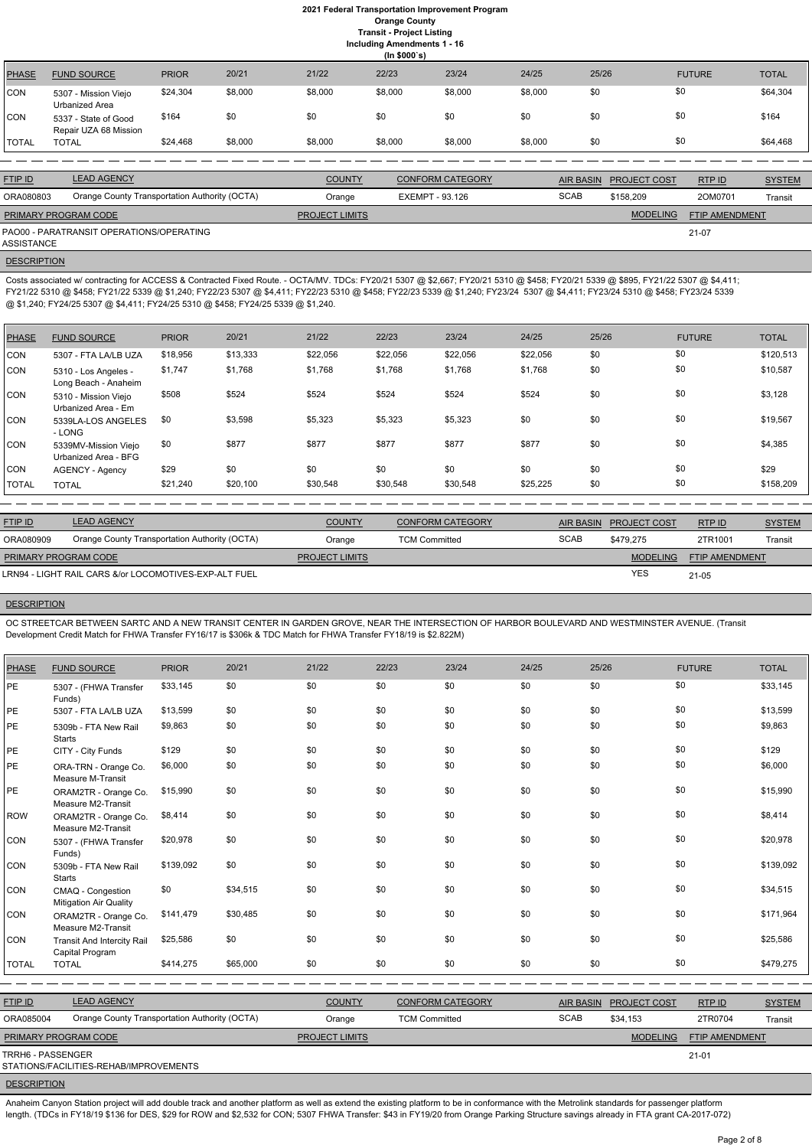**Including Amendments 1 - 16**

|              | (ln \$000's)                                  |              |         |                       |         |                         |         |                  |                     |                       |               |
|--------------|-----------------------------------------------|--------------|---------|-----------------------|---------|-------------------------|---------|------------------|---------------------|-----------------------|---------------|
| <b>PHASE</b> | <b>FUND SOURCE</b>                            | <b>PRIOR</b> | 20/21   | 21/22                 | 22/23   | 23/24                   | 24/25   | 25/26            |                     | <b>FUTURE</b>         | <b>TOTAL</b>  |
| CON          | 5307 - Mission Viejo<br>Urbanized Area        | \$24,304     | \$8,000 | \$8,000               | \$8,000 | \$8,000                 | \$8,000 | \$0              | \$0                 |                       | \$64,304      |
| CON          | 5337 - State of Good<br>Repair UZA 68 Mission | \$164        | \$0     | \$0                   | \$0     | \$0                     | \$0     | \$0              | \$0                 |                       | \$164         |
| <b>TOTAL</b> | <b>TOTAL</b>                                  | \$24,468     | \$8,000 | \$8,000               | \$8,000 | \$8,000                 | \$8,000 | \$0              | \$0                 |                       | \$64,468      |
|              |                                               |              |         |                       |         |                         |         |                  |                     |                       |               |
| FTIP ID      | <b>LEAD AGENCY</b>                            |              |         | <b>COUNTY</b>         |         | <b>CONFORM CATEGORY</b> |         | <b>AIR BASIN</b> | <b>PROJECT COST</b> | RTP ID                | <b>SYSTEM</b> |
| ORA080803    | Orange County Transportation Authority (OCTA) |              |         | Orange                |         | <b>EXEMPT - 93.126</b>  |         | <b>SCAB</b>      | \$158,209           | 20M0701               | Transit       |
|              | PRIMARY PROGRAM CODE                          |              |         | <b>PROJECT LIMITS</b> |         |                         |         |                  | <b>MODELING</b>     | <b>FTIP AMENDMENT</b> |               |

21-07

PAO00 - PARATRANSIT OPERATIONS/OPERATING ASSISTANCE

**DESCRIPTION** 

Costs associated w/ contracting for ACCESS & Contracted Fixed Route. - OCTA/MV. TDCs: FY20/21 5307 @ \$2,667; FY20/21 5310 @ \$458; FY20/21 5339 @ \$895, FY21/22 5307 @ \$4,411; FY21/22 5310 @ \$458; FY21/22 5339 @ \$1,240; FY22/23 5307 @ \$4,411; FY22/23 5310 @ \$458; FY22/23 5339 @ \$1,240; FY23/24 5307 @ \$4,411; FY23/24 5310 @ \$458; FY23/24 5339 @ \$1,240; FY24/25 5307 @ \$4,411; FY24/25 5310 @ \$458; FY24/25 5339 @ \$1,240.

| <b>PHASE</b> | <b>FUND SOURCE</b>                           | <b>PRIOR</b> | 20/21    | 21/22    | 22/23    | 23/24    | 24/25    | 25/26 | <b>FUTURE</b> | <b>TOTAL</b> |
|--------------|----------------------------------------------|--------------|----------|----------|----------|----------|----------|-------|---------------|--------------|
| CON          | 5307 - FTA LA/LB UZA                         | \$18,956     | \$13,333 | \$22,056 | \$22,056 | \$22,056 | \$22,056 | \$0   | \$0           | \$120,513    |
| CON          | 5310 - Los Angeles -<br>Long Beach - Anaheim | \$1,747      | \$1,768  | \$1,768  | \$1,768  | \$1,768  | \$1,768  | \$0   | \$0           | \$10,587     |
| CON          | 5310 - Mission Viejo<br>Urbanized Area - Em  | \$508        | \$524    | \$524    | \$524    | \$524    | \$524    | \$0   | \$0           | \$3,128      |
| CON          | 5339LA-LOS ANGELES<br>- LONG                 | \$0          | \$3,598  | \$5,323  | \$5,323  | \$5,323  | \$0      | \$0   | \$0           | \$19,567     |
| CON          | 5339MV-Mission Viejo<br>Urbanized Area - BFG | \$0          | \$877    | \$877    | \$877    | \$877    | \$877    | \$0   | \$0           | \$4,385      |
| CON          | <b>AGENCY - Agency</b>                       | \$29         | \$0      | \$0      | \$0      | \$0      | \$0      | \$0   | \$0           | \$29         |
| <b>TOTAL</b> | <b>TOTAL</b>                                 | \$21,240     | \$20,100 | \$30,548 | \$30,548 | \$30,548 | \$25,225 | \$0   | \$0           | \$158,209    |

| <b>FTIP ID</b>              | <b>LEAD AGENCY</b>                                    | <b>COUNTY</b>         | <b>CONFORM CATEGORY</b> | <b>AIR BASIN</b> | <b>PROJECT COST</b> | RTP ID                | <b>SYSTEM</b> |
|-----------------------------|-------------------------------------------------------|-----------------------|-------------------------|------------------|---------------------|-----------------------|---------------|
| ORA080909                   | Orange County Transportation Authority (OCTA)         | Orange                | <b>TCM Committed</b>    | <b>SCAB</b>      | \$479.275           | 2TR1001               | Transit       |
| <b>PRIMARY PROGRAM CODE</b> |                                                       | <b>PROJECT LIMITS</b> |                         |                  | <b>MODELING</b>     | <b>FTIP AMENDMENT</b> |               |
|                             | LRN94 - LIGHT RAIL CARS &/or LOCOMOTIVES-EXP-ALT FUEL |                       |                         |                  | <b>YES</b>          | 21-05                 |               |

#### **DESCRIPTION**

Anaheim Canyon Station project will add double track and another platform as well as extend the existing platform to be in conformance with the Metrolink standards for passenger platform length. (TDCs in FY18/19 \$136 for DES, \$29 for ROW and \$2,532 for CON; 5307 FHWA Transfer: \$43 in FY19/20 from Orange Parking Structure savings already in FTA grant CA-2017-072)

OC STREETCAR BETWEEN SARTC AND A NEW TRANSIT CENTER IN GARDEN GROVE, NEAR THE INTERSECTION OF HARBOR BOULEVARD AND WESTMINSTER AVENUE. (Transit Development Credit Match for FHWA Transfer FY16/17 is \$306k & TDC Match for FHWA Transfer FY18/19 is \$2.822M)

| <b>PHASE</b>      | <b>FUND SOURCE</b>                                   | <b>PRIOR</b> | 20/21    | 21/22                 | 22/23                | 23/24                   | 24/25            | 25/26               | <b>FUTURE</b>  | <b>TOTAL</b>  |
|-------------------|------------------------------------------------------|--------------|----------|-----------------------|----------------------|-------------------------|------------------|---------------------|----------------|---------------|
| PE                | 5307 - (FHWA Transfer<br>Funds)                      | \$33,145     | \$0      | \$0                   | \$0                  | \$0                     | \$0              | \$0                 | \$0            | \$33,145      |
| PE                | 5307 - FTA LA/LB UZA                                 | \$13,599     | \$0      | \$0                   | \$0                  | \$0                     | \$0              | \$0                 | \$0            | \$13,599      |
| PE                | 5309b - FTA New Rail<br><b>Starts</b>                | \$9,863      | \$0      | \$0                   | \$0                  | \$0                     | \$0              | \$0                 | \$0            | \$9,863       |
| PE                | CITY - City Funds                                    | \$129        | \$0      | \$0                   | \$0                  | \$0                     | \$0              | \$0                 | \$0            | \$129         |
| PE                | ORA-TRN - Orange Co.<br>Measure M-Transit            | \$6,000      | \$0      | \$0                   | \$0                  | \$0                     | \$0              | \$0                 | \$0            | \$6,000       |
| PE                | ORAM2TR - Orange Co.<br>Measure M2-Transit           | \$15,990     | \$0      | \$0                   | \$0                  | \$0                     | \$0              | \$0                 | \$0            | \$15,990      |
| ROW               | ORAM2TR - Orange Co.<br>Measure M2-Transit           | \$8,414      | \$0      | \$0                   | \$0                  | \$0                     | \$0              | \$0                 | \$0            | \$8,414       |
| <b>CON</b>        | 5307 - (FHWA Transfer<br>Funds)                      | \$20,978     | \$0      | \$0                   | \$0                  | \$0                     | \$0              | \$0                 | \$0            | \$20,978      |
| <b>CON</b>        | 5309b - FTA New Rail<br><b>Starts</b>                | \$139,092    | \$0      | \$0                   | \$0                  | \$0                     | \$0              | \$0                 | \$0            | \$139,092     |
| CON               | CMAQ - Congestion<br><b>Mitigation Air Quality</b>   | \$0          | \$34,515 | \$0                   | \$0                  | \$0                     | \$0              | \$0                 | \$0            | \$34,515      |
| <b>CON</b>        | ORAM2TR - Orange Co.<br>Measure M2-Transit           | \$141,479    | \$30,485 | \$0                   | \$0                  | \$0                     | \$0              | \$0                 | \$0            | \$171,964     |
| <b>CON</b>        | <b>Transit And Intercity Rail</b><br>Capital Program | \$25,586     | \$0      | \$0                   | \$0                  | \$0                     | \$0              | \$0                 | \$0            | \$25,586      |
| <b>TOTAL</b>      | <b>TOTAL</b>                                         | \$414,275    | \$65,000 | \$0                   | \$0                  | \$0                     | \$0              | \$0                 | \$0            | \$479,275     |
|                   |                                                      |              |          |                       |                      |                         |                  |                     |                |               |
| <b>FTIP ID</b>    | <b>LEAD AGENCY</b>                                   |              |          | <b>COUNTY</b>         |                      | <b>CONFORM CATEGORY</b> | <b>AIR BASIN</b> | <b>PROJECT COST</b> | <b>RTP ID</b>  | <b>SYSTEM</b> |
| ORA085004         | Orange County Transportation Authority (OCTA)        |              |          | Orange                | <b>TCM Committed</b> |                         | <b>SCAB</b>      | \$34,153            | 2TR0704        | Transit       |
|                   | PRIMARY PROGRAM CODE                                 |              |          | <b>PROJECT LIMITS</b> |                      |                         |                  | <b>MODELING</b>     | FTIP AMENDMENT |               |
| TRRH6 - PASSENGER | STATIONS/FACILITIES-REHAB/IMPROVEMENTS               |              |          |                       |                      |                         |                  |                     | $21 - 01$      |               |

# **DESCRIPTION**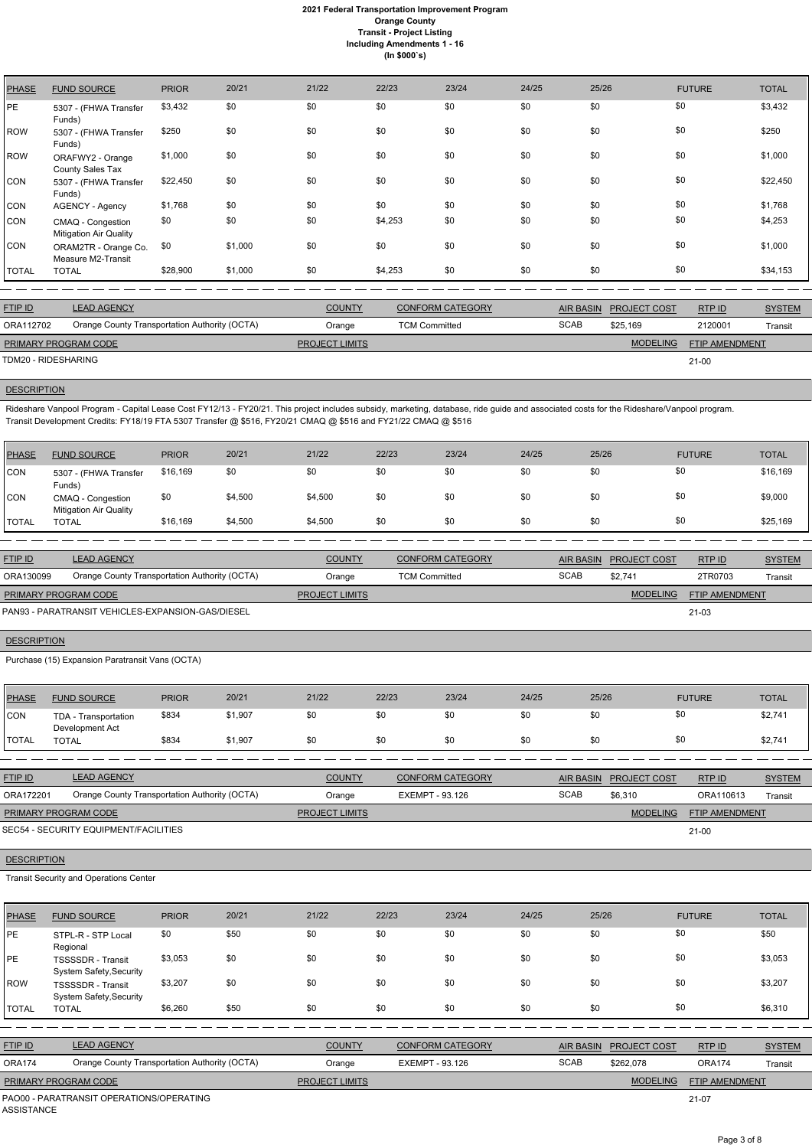### **2021 Federal Transportation Improvement Program Orange County Transit - Project Listing Including Amendments 1 - 16 (In \$000`s)**

| <b>PHASE</b> | <b>FUND SOURCE</b>                                 | <b>PRIOR</b> | 20/21   | 21/22 | 22/23   | 23/24 | 24/25 | 25/26 | <b>FUTURE</b> | <b>TOTAL</b> |
|--------------|----------------------------------------------------|--------------|---------|-------|---------|-------|-------|-------|---------------|--------------|
| <b>PE</b>    | 5307 - (FHWA Transfer<br>Funds)                    | \$3,432      | \$0     | \$0   | \$0     | \$0   | \$0   | \$0   | \$0           | \$3,432      |
| <b>ROW</b>   | 5307 - (FHWA Transfer<br>Funds)                    | \$250        | \$0     | \$0   | \$0     | \$0   | \$0   | \$0   | \$0           | \$250        |
| <b>ROW</b>   | ORAFWY2 - Orange<br>County Sales Tax               | \$1,000      | \$0     | \$0   | \$0     | \$0   | \$0   | \$0   | \$0           | \$1,000      |
| CON          | 5307 - (FHWA Transfer<br>Funds)                    | \$22,450     | \$0     | \$0   | \$0     | \$0   | \$0   | \$0   | \$0           | \$22,450     |
| CON          | AGENCY - Agency                                    | \$1,768      | \$0     | \$0   | \$0     | \$0   | \$0   | \$0   | \$0           | \$1,768      |
| <b>CON</b>   | CMAQ - Congestion<br><b>Mitigation Air Quality</b> | \$0          | \$0     | \$0   | \$4,253 | \$0   | \$0   | \$0   | \$0           | \$4,253      |
| CON          | ORAM2TR - Orange Co.<br>Measure M2-Transit         | \$0          | \$1,000 | \$0   | \$0     | \$0   | \$0   | \$0   | \$0           | \$1,000      |
| <b>TOTAL</b> | <b>TOTAL</b>                                       | \$28,900     | \$1,000 | \$0   | \$4,253 | \$0   | \$0   | \$0   | \$0           | \$34,153     |

Rideshare Vanpool Program - Capital Lease Cost FY12/13 - FY20/21. This project includes subsidy, marketing, database, ride guide and associated costs for the Rideshare/Vanpool program. Transit Development Credits: FY18/19 FTA 5307 Transfer @ \$516, FY20/21 CMAQ @ \$516 and FY21/22 CMAQ @ \$516

| <b>FTIP ID</b>              | <b>LEAD AGENCY</b>                            | <b>COUNTY</b>         | <b>CONFORM CATEGORY</b> |             | AIR BASIN PROJECT COST | RTP ID                | <b>SYSTEM</b> |
|-----------------------------|-----------------------------------------------|-----------------------|-------------------------|-------------|------------------------|-----------------------|---------------|
| ORA112702                   | Orange County Transportation Authority (OCTA) | Orange                | <b>TCM Committed</b>    | <b>SCAB</b> | \$25.169               | 2120001               | Transit       |
| <b>PRIMARY PROGRAM CODE</b> |                                               | <b>PROJECT LIMITS</b> |                         |             | <b>MODELING</b>        | <b>FTIP AMENDMENT</b> |               |
| TDM20 - RIDESHARING         |                                               |                       |                         |             |                        | $21-00$               |               |

# **DESCRIPTION**

| <b>PHASE</b> | <b>FUND SOURCE</b>                                 | <b>PRIOR</b> | 20/21   | 21/22   | 22/23 | 23/24 | 24/25 | 25/26 | <b>FUTURE</b> | <b>TOTAL</b> |
|--------------|----------------------------------------------------|--------------|---------|---------|-------|-------|-------|-------|---------------|--------------|
| <b>CON</b>   | 5307 - (FHWA Transfer<br>Funds)                    | \$16,169     | \$0     | \$0     | \$0   | \$0   | \$0   | \$0   | \$0           | \$16,169     |
| <b>CON</b>   | CMAQ - Congestion<br><b>Mitigation Air Quality</b> | \$0          | \$4,500 | \$4,500 | \$0   | \$0   | \$0   | \$0   | \$0           | \$9,000      |
| <b>TOTAL</b> | <b>TOTAL</b>                                       | \$16,169     | \$4,500 | \$4,500 | \$0   | \$0   | \$0   | \$0   | \$0           | \$25,169     |

| <b>FTIP ID</b>              | <b>LEAD AGENCY</b>                                | <b>COUNTY</b>         | <b>CONFORM CATEGORY</b> |             | AIR BASIN PROJECT COST | RTPID                 | <b>SYSTEM</b> |
|-----------------------------|---------------------------------------------------|-----------------------|-------------------------|-------------|------------------------|-----------------------|---------------|
| ORA130099                   | Orange County Transportation Authority (OCTA)     | Orange                | TCM Committed           | <b>SCAB</b> | \$2.741                | 2TR0703               | Transit       |
| <b>PRIMARY PROGRAM CODE</b> |                                                   | <b>PROJECT LIMITS</b> |                         |             | <b>MODELING</b>        | <b>FTIP AMENDMENT</b> |               |
|                             | PAN93 - PARATRANSIT VEHICLES-EXPANSION-GAS/DIESEL |                       |                         |             |                        | 21-03                 |               |

### **DESCRIPTION**

Purchase (15) Expansion Paratransit Vans (OCTA)

| PHASE          | <b>FUND SOURCE</b>                            | <b>PRIOR</b> | 20/21   | 21/22                 | 22/23                  | 23/24                   | 24/25 | 25/26            |                     | <b>FUTURE</b>         | <b>TOTAL</b>  |
|----------------|-----------------------------------------------|--------------|---------|-----------------------|------------------------|-------------------------|-------|------------------|---------------------|-----------------------|---------------|
| <b>CON</b>     | TDA - Transportation<br>Development Act       | \$834        | \$1,907 | \$0                   | \$0                    | \$0                     | \$0   | \$0              | \$0                 |                       | \$2,741       |
| <b>TOTAL</b>   | <b>TOTAL</b>                                  | \$834        | \$1.907 | \$0                   | \$0                    | \$0                     | \$0   | \$0              | \$0                 |                       | \$2,741       |
|                |                                               |              |         |                       |                        |                         |       |                  |                     |                       |               |
| <b>FTIP ID</b> | <b>LEAD AGENCY</b>                            |              |         | <b>COUNTY</b>         |                        | <b>CONFORM CATEGORY</b> |       | <b>AIR BASIN</b> | <b>PROJECT COST</b> | RTP ID                | <b>SYSTEM</b> |
| ORA172201      | Orange County Transportation Authority (OCTA) |              |         | Orange                | <b>EXEMPT - 93.126</b> |                         |       | <b>SCAB</b>      | \$6,310             | ORA110613             | Transit       |
|                | PRIMARY PROGRAM CODE                          |              |         | <b>PROJECT LIMITS</b> |                        |                         |       |                  | <b>MODELING</b>     | <b>FTIP AMENDMENT</b> |               |
|                | SEC54 - SECURITY EQUIPMENT/FACILITIES         |              |         |                       |                        |                         |       |                  |                     | $21 - 00$             |               |

# Transit Security and Operations Center

| <b>PHASE</b>      | <b>FUND SOURCE</b>                                         | <b>PRIOR</b> | 20/21 | 21/22                 | 22/23                  | 23/24                   | 24/25 | 25/26            |                     | <b>FUTURE</b>  | <b>TOTAL</b>  |
|-------------------|------------------------------------------------------------|--------------|-------|-----------------------|------------------------|-------------------------|-------|------------------|---------------------|----------------|---------------|
| <b>PE</b>         | STPL-R - STP Local<br>Regional                             | \$0          | \$50  | \$0                   | \$0                    | \$0                     | \$0   | \$0              |                     | \$0            | \$50          |
| PE                | <b>TSSSSDR</b> - Transit<br>System Safety, Security        | \$3,053      | \$0   | \$0                   | \$0                    | \$0                     | \$0   | \$0              |                     | \$0            | \$3,053       |
| <b>ROW</b>        | <b>TSSSSDR</b> - Transit<br><b>System Safety, Security</b> | \$3,207      | \$0   | \$0                   | \$0                    | \$0                     | \$0   | \$0              |                     | \$0            | \$3,207       |
| <b>TOTAL</b>      | <b>TOTAL</b>                                               | \$6,260      | \$50  | \$0                   | \$0                    | \$0                     | \$0   | \$0              |                     | \$0            | \$6,310       |
|                   |                                                            |              |       |                       |                        |                         |       |                  |                     |                |               |
| <b>FTIP ID</b>    | <b>LEAD AGENCY</b>                                         |              |       | <b>COUNTY</b>         |                        | <b>CONFORM CATEGORY</b> |       | <b>AIR BASIN</b> | <b>PROJECT COST</b> | RTP ID         | <b>SYSTEM</b> |
| ORA174            | Orange County Transportation Authority (OCTA)              |              |       | Orange                | <b>EXEMPT - 93.126</b> |                         |       | <b>SCAB</b>      | \$262,078           | <b>ORA174</b>  | Transit       |
|                   | PRIMARY PROGRAM CODE                                       |              |       | <b>PROJECT LIMITS</b> |                        |                         |       |                  | <b>MODELING</b>     | FTIP AMENDMENT |               |
| <b>ASSISTANCE</b> | PAO00 - PARATRANSIT OPERATIONS/OPERATING                   |              |       |                       |                        |                         |       |                  |                     | $21-07$        |               |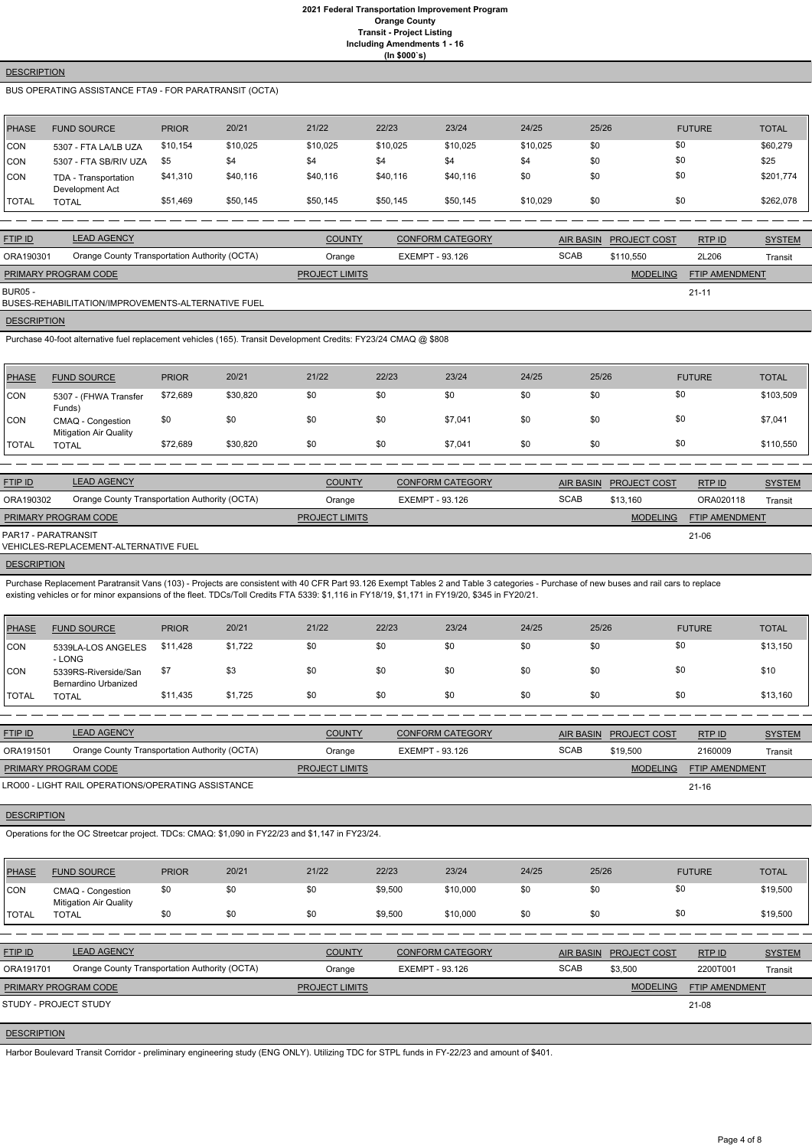### **2021 Federal Transportation Improvement Program Orange County Transit - Project Listing Including Amendments 1 - 16 (In \$000`s)**

### **DESCRIPTION**

# BUS OPERATING ASSISTANCE FTA9 - FOR PARATRANSIT (OCTA)

| <b>PHASE</b> | <b>FUND SOURCE</b>                      | <b>PRIOR</b> | 20/21    | 21/22    | 22/23    | 23/24    | 24/25    | 25/26 | <b>FUTURE</b> | <b>TOTAL</b> |
|--------------|-----------------------------------------|--------------|----------|----------|----------|----------|----------|-------|---------------|--------------|
| <b>CON</b>   | 5307 - FTA LA/LB UZA                    | \$10,154     | \$10,025 | \$10,025 | \$10,025 | \$10,025 | \$10,025 | \$0   | \$0           | \$60,279     |
| CON          | 5307 - FTA SB/RIV UZA                   | \$5          | \$4      | \$4      | \$4      | \$4      | \$4      | \$0   | \$0           | \$25         |
| <b>CON</b>   | TDA - Transportation<br>Development Act | \$41,310     | \$40,116 | \$40,116 | \$40,116 | \$40,116 | \$0      | \$0   | \$0           | \$201,774    |
| <b>TOTAL</b> | <b>TOTAL</b>                            | \$51,469     | \$50,145 | \$50,145 | \$50,145 | \$50,145 | \$10,029 | \$0   | \$0           | \$262,078    |

| <b>FTIP ID</b>       | <b>LEAD AGENCY</b>                                 | <b>COUNTY</b>         | <b>CONFORM CATEGORY</b> | <b>AIR BASIN</b> | <b>PROJECT COST</b> | RTP ID                | <b>SYSTEM</b> |
|----------------------|----------------------------------------------------|-----------------------|-------------------------|------------------|---------------------|-----------------------|---------------|
| ORA190301            | Orange County Transportation Authority (OCTA)      | Orange                | EXEMPT - 93.126         | <b>SCAB</b>      | \$110.550           | 2L206                 | Transit       |
| PRIMARY PROGRAM CODE |                                                    | <b>PROJECT LIMITS</b> |                         |                  | <b>MODELING</b>     | <b>FTIP AMENDMENT</b> |               |
| <b>BUR05 -</b>       | BUSES-REHABILITATION/IMPROVEMENTS-ALTERNATIVE FUEL |                       |                         |                  |                     | $21 - 11$             |               |

**DESCRIPTION** 

Purchase 40-foot alternative fuel replacement vehicles (165). Transit Development Credits: FY23/24 CMAQ @ \$808

| <b>PHASE</b> | <b>FUND SOURCE</b>                                 | <b>PRIOR</b> | 20/21    | 21/22 | 22/23 | 23/24   | 24/25 | 25/26 | <b>FUTURE</b> | <b>TOTAL</b> |
|--------------|----------------------------------------------------|--------------|----------|-------|-------|---------|-------|-------|---------------|--------------|
| CON          | 5307 - (FHWA Transfer<br>Funds)                    | \$72,689     | \$30,820 | \$0   | \$0   | \$0     | \$0   | \$0   | \$0           | \$103,509    |
| <b>CON</b>   | CMAQ - Congestion<br><b>Mitigation Air Quality</b> | \$0          | \$0      | \$0   | \$0   | \$7,041 | \$0   | \$0   | \$0           | \$7,041      |
| <b>TOTAL</b> | <b>TOTAL</b>                                       | \$72,689     | \$30,820 | \$0   | \$0   | \$7,041 | \$0   | \$0   | \$0           | \$110,550    |

| <b>FTIP ID</b>              | <b>LEAD AGENCY</b>                            | <b>COUNTY</b>         | CONFORM CATEGORY |             | AIR BASIN PROJECT COST | RTPID                 | <b>SYSTEM</b> |
|-----------------------------|-----------------------------------------------|-----------------------|------------------|-------------|------------------------|-----------------------|---------------|
| ORA190302                   | Orange County Transportation Authority (OCTA) | Orange                | EXEMPT - 93.126  | <b>SCAB</b> | \$13.160               | ORA020118             | Transit       |
| <b>PRIMARY PROGRAM CODE</b> |                                               | <b>PROJECT LIMITS</b> |                  |             | <b>MODELING</b>        | <b>FTIP AMENDMENT</b> |               |
| PAR17 - PARATRANSIT         | VEHICLES-REPLACEMENT-ALTERNATIVE FUEL         |                       |                  |             |                        | 21-06                 |               |

**DESCRIPTION** 

Purchase Replacement Paratransit Vans (103) - Projects are consistent with 40 CFR Part 93.126 Exempt Tables 2 and Table 3 categories - Purchase of new buses and rail cars to replace existing vehicles or for minor expansions of the fleet. TDCs/Toll Credits FTA 5339: \$1,116 in FY18/19, \$1,171 in FY19/20, \$345 in FY20/21.

| PHASE        | <b>FUND SOURCE</b>                           | <b>PRIOR</b> | 20/21   | 21/22 | 22/23 | 23/24 | 24/25 | 25/26 | <b>FUTURE</b> | <b>TOTAL</b> |
|--------------|----------------------------------------------|--------------|---------|-------|-------|-------|-------|-------|---------------|--------------|
| <b>CON</b>   | 5339LA-LOS ANGELES<br>- LONG                 | \$11,428     | \$1,722 | \$0   | \$0   | \$0   | \$0   | \$0   | \$0           | \$13,150     |
| CON          | 5339RS-Riverside/San<br>Bernardino Urbanized | \$7          | \$3     | \$0   | \$0   | \$0   | \$0   | \$0   | \$0           | \$10         |
| <b>TOTAL</b> | <b>TOTAL</b>                                 | \$11,435     | \$1,725 | \$0   | \$0   | \$0   | \$0   | \$0   | \$0           | \$13,160     |

| <b>FTIP ID</b>                                     | <b>LEAD AGENCY</b>                            | <b>COUNTY</b>         | <b>CONFORM CATEGORY</b> |             | AIR BASIN PROJECT COST | RTPID                 | <b>SYSTEM</b> |
|----------------------------------------------------|-----------------------------------------------|-----------------------|-------------------------|-------------|------------------------|-----------------------|---------------|
| ORA191501                                          | Orange County Transportation Authority (OCTA) | Orange                | EXEMPT - 93.126         | <b>SCAB</b> | \$19.500               | 2160009               | Transit       |
| <b>PRIMARY PROGRAM CODE</b>                        |                                               | <b>PROJECT LIMITS</b> |                         |             | <b>MODELING</b>        | <b>FTIP AMENDMENT</b> |               |
| LRO00 - LIGHT RAIL OPERATIONS/OPERATING ASSISTANCE |                                               |                       |                         |             |                        | $21 - 16$             |               |

LRO00 - LIGHT RAIL OPERATIONS/OPERATING ASSISTANCE

**DESCRIPTION** 

Operations for the OC Streetcar project. TDCs: CMAQ: \$1,090 in FY22/23 and \$1,147 in FY23/24.

| <b>PHASE</b>       | <b>FUND SOURCE</b>                                 | <b>PRIOR</b> | 20/21 | 21/22                 | 22/23   | 23/24                   | 24/25 | 25/26            |                     | <b>FUTURE</b>  | <b>TOTAL</b>  |
|--------------------|----------------------------------------------------|--------------|-------|-----------------------|---------|-------------------------|-------|------------------|---------------------|----------------|---------------|
| CON                | CMAQ - Congestion<br><b>Mitigation Air Quality</b> | \$0          | \$0   | \$0                   | \$9,500 | \$10,000                | \$0   | \$0              | \$0                 |                | \$19,500      |
| <b>TOTAL</b>       | <b>TOTAL</b>                                       | \$0          | \$0   | \$0                   | \$9,500 | \$10,000                | \$0   | \$0              | \$0                 |                | \$19,500      |
|                    |                                                    |              |       |                       |         |                         |       |                  |                     |                |               |
| <b>FTIP ID</b>     | <b>LEAD AGENCY</b>                                 |              |       | <b>COUNTY</b>         |         | <b>CONFORM CATEGORY</b> |       | <b>AIR BASIN</b> | <b>PROJECT COST</b> | RTPID          | <b>SYSTEM</b> |
| ORA191701          | Orange County Transportation Authority (OCTA)      |              |       | Orange                |         | EXEMPT - 93.126         |       | <b>SCAB</b>      | \$3,500             | 2200T001       | Transit       |
|                    | PRIMARY PROGRAM CODE                               |              |       | <b>PROJECT LIMITS</b> |         |                         |       |                  | <b>MODELING</b>     | FTIP AMENDMENT |               |
|                    | STUDY - PROJECT STUDY                              |              |       |                       |         |                         |       |                  |                     | 21-08          |               |
|                    |                                                    |              |       |                       |         |                         |       |                  |                     |                |               |
| <b>DESCRIPTION</b> |                                                    |              |       |                       |         |                         |       |                  |                     |                |               |

Harbor Boulevard Transit Corridor - preliminary engineering study (ENG ONLY). Utilizing TDC for STPL funds in FY-22/23 and amount of \$401.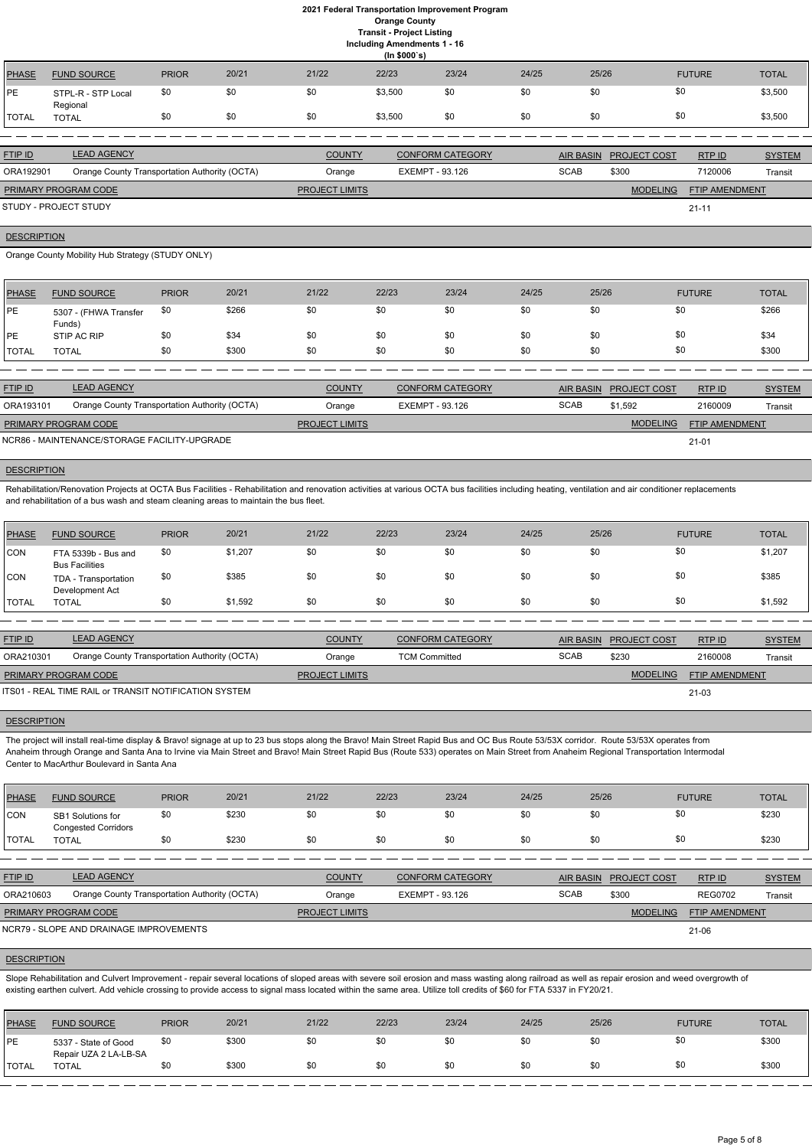**Including Amendments 1 - 16**

|                |                                               |              |       |                       | (ln \$000's) |                         |       |                  |                     |                |               |
|----------------|-----------------------------------------------|--------------|-------|-----------------------|--------------|-------------------------|-------|------------------|---------------------|----------------|---------------|
| <b>PHASE</b>   | <b>FUND SOURCE</b>                            | <b>PRIOR</b> | 20/21 | 21/22                 | 22/23        | 23/24                   | 24/25 | 25/26            |                     | <b>FUTURE</b>  | <b>TOTAL</b>  |
| <b>IPE</b>     | STPL-R - STP Local<br>Regional                | \$0          | \$0   | \$0                   | \$3,500      | \$0                     | \$0   | \$0              | \$0                 |                | \$3,500       |
| <b>ITOTAL</b>  | <b>TOTAL</b>                                  | \$0          | \$0   | \$0                   | \$3,500      | \$0                     | \$0   | \$0              | \$0                 |                | \$3,500       |
|                |                                               |              |       |                       |              |                         |       |                  |                     |                |               |
| <b>FTIP ID</b> | <b>LEAD AGENCY</b>                            |              |       | <b>COUNTY</b>         |              | <b>CONFORM CATEGORY</b> |       | <b>AIR BASIN</b> | <b>PROJECT COST</b> | RTP ID         | <b>SYSTEM</b> |
| ORA192901      | Orange County Transportation Authority (OCTA) |              |       | Orange                |              | EXEMPT - 93.126         |       | <b>SCAB</b>      | \$300               | 7120006        | Transit       |
|                | PRIMARY PROGRAM CODE                          |              |       | <b>PROJECT LIMITS</b> |              |                         |       |                  | <b>MODELING</b>     | FTIP AMENDMENT |               |

21-11

#### **DESCRIPTION**

STUDY - PROJECT STUDY

Orange County Mobility Hub Strategy (STUDY ONLY)

Rehabilitation/Renovation Projects at OCTA Bus Facilities - Rehabilitation and renovation activities at various OCTA bus facilities including heating, ventilation and air conditioner replacements and rehabilitation of a bus wash and steam cleaning areas to maintain the bus fleet.

| <b>PHASE</b>  | <b>FUND SOURCE</b>              | <b>PRIOR</b> | 20/21 | 21/22 | 22/23 | 23/24 | 24/25 | 25/26 | <b>FUTURE</b> | <b>TOTAL</b> |
|---------------|---------------------------------|--------------|-------|-------|-------|-------|-------|-------|---------------|--------------|
| <b>IPE</b>    | 5307 - (FHWA Transfer<br>Funds) | \$0          | \$266 | \$0   | \$0   | \$0   | \$0   | \$0   | \$0           | \$266        |
| <b>IPE</b>    | STIP AC RIP                     | \$0          | \$34  | \$0   | \$0   | \$0   | \$0   | \$0   | \$0           | \$34         |
| <b>ITOTAL</b> | <b>TOTAL</b>                    | \$0          | \$300 | \$0   | \$0   | \$0   | \$0   | \$0   | \$0           | \$300        |

| <b>FTIP ID</b>              | <b>LEAD AGENCY</b>                            | <b>COUNTY</b>         | <b>CONFORM CATEGORY</b> | <b>AIR BASIN</b> | <b>PROJECT COST</b> | RTP ID                | <b>SYSTEM</b> |
|-----------------------------|-----------------------------------------------|-----------------------|-------------------------|------------------|---------------------|-----------------------|---------------|
| ORA193101                   | Orange County Transportation Authority (OCTA) | Orange                | EXEMPT - 93.126         | <b>SCAB</b>      | \$1,592             | 2160009               | Transit       |
| <b>PRIMARY PROGRAM CODE</b> |                                               | <b>PROJECT LIMITS</b> |                         |                  | <b>MODELING</b>     | <b>FTIP AMENDMENT</b> |               |
|                             | NCR86 - MAINTENANCE/STORAGE FACILITY-UPGRADE  |                       |                         |                  |                     | $21 - 01$             |               |

# **DESCRIPTION**

The project will install real-time display & Bravo! signage at up to 23 bus stops along the Bravo! Main Street Rapid Bus and OC Bus Route 53/53X corridor. Route 53/53X operates from Anaheim through Orange and Santa Ana to Irvine via Main Street and Bravo! Main Street Rapid Bus (Route 533) operates on Main Street from Anaheim Regional Transportation Intermodal Center to MacArthur Boulevard in Santa Ana

| PHASE        | <b>FUND SOURCE</b>                           | <b>PRIOR</b> | 20/21   | 21/22 | 22/23 | 23/24 | 24/25 | 25/26 | <b>FUTURE</b> | <b>TOTAL</b> |
|--------------|----------------------------------------------|--------------|---------|-------|-------|-------|-------|-------|---------------|--------------|
| CON          | FTA 5339b - Bus and<br><b>Bus Facilities</b> | \$0          | \$1,207 | \$0   | \$0   | \$0   | \$0   | \$0   | \$0           | \$1,207      |
| <b>CON</b>   | TDA - Transportation<br>Development Act      | \$0          | \$385   | \$0   | \$0   | \$0   | \$0   | \$0   | \$0           | \$385        |
| <b>TOTAL</b> | TOTAL                                        | \$0          | \$1,592 | \$0   | \$0   | \$0   | \$0   | \$0   | \$0           | \$1,592      |

Slope Rehabilitation and Culvert Improvement - repair several locations of sloped areas with severe soil erosion and mass wasting along railroad as well as repair erosion and weed overgrowth of existing earthen culvert. Add vehicle crossing to provide access to signal mass located within the same area. Utilize toll credits of \$60 for FTA 5337 in FY20/21.

| <b>FTIP ID</b>              | <b>LEAD AGENCY</b>                                    | <b>COUNTY</b>         | <b>CONFORM CATEGORY</b> | <b>AIR BASIN</b> | <b>PROJECT COST</b> | RTP ID         | <b>SYSTEM</b> |
|-----------------------------|-------------------------------------------------------|-----------------------|-------------------------|------------------|---------------------|----------------|---------------|
| ORA210301                   | Orange County Transportation Authority (OCTA)         | Orange                | <b>TCM Committed</b>    | <b>SCAB</b>      | \$230               | 2160008        | Transit       |
| <b>PRIMARY PROGRAM CODE</b> |                                                       | <b>PROJECT LIMITS</b> |                         |                  | <b>MODELING</b>     | FTIP AMENDMENT |               |
|                             | ITS01 - REAL TIME RAIL or TRANSIT NOTIFICATION SYSTEM |                       |                         |                  |                     | $21 - 03$      |               |

### **DESCRIPTION**

| PHASE          | <b>FUND SOURCE</b>                              | <b>PRIOR</b> | 20/21 | 21/22 | 22/23 | 23/24 | 24/25 | 25/26 | <b>FUTURE</b> | <b>TOTAL</b> |
|----------------|-------------------------------------------------|--------------|-------|-------|-------|-------|-------|-------|---------------|--------------|
| <b>CON</b>     | SB1 Solutions for<br><b>Congested Corridors</b> | \$0          | \$230 | \$0   | \$0   | \$0   | \$0   |       |               | \$230        |
| <b>I</b> TOTAL | TOTAL                                           | \$0          | \$230 | \$0   | \$0   | \$0   | \$0   |       |               | \$230        |

| <b>FTIP ID</b>              | <b>LEAD AGENCY</b>                            | <b>COUNTY</b>         | <b>CONFORM CATEGORY</b> |             | AIR BASIN PROJECT COST | RTP ID                | <u>SYSTEM</u> |
|-----------------------------|-----------------------------------------------|-----------------------|-------------------------|-------------|------------------------|-----------------------|---------------|
| ORA210603                   | Orange County Transportation Authority (OCTA) | Orange                | EXEMPT - 93.126         | <b>SCAB</b> | \$300                  | <b>REG0702</b>        | Transit       |
| <b>PRIMARY PROGRAM CODE</b> |                                               | <b>PROJECT LIMITS</b> |                         |             | <b>MODELING</b>        | <b>FTIP AMENDMENT</b> |               |
|                             | NCR79 - SLOPE AND DRAINAGE IMPROVEMENTS       |                       |                         |             |                        | 21-06                 |               |

### **DESCRIPTION**

| <b>PHASE</b>   | <b>FUND SOURCE</b>                            | <b>PRIOR</b> | 20/21 | 21/22 | 22/23 | 23/24 | 24/25 | 25/26 | <b>FUTURE</b> | <b>TOTAL</b> |
|----------------|-----------------------------------------------|--------------|-------|-------|-------|-------|-------|-------|---------------|--------------|
| PE             | 5337 - State of Good<br>Repair UZA 2 LA-LB-SA | \$0          | \$300 | \$0   | \$0   | \$0   | \$0   |       |               | \$300        |
| <b>I</b> TOTAL | TOTAL                                         | \$0          | \$300 | \$0   | \$0   | \$0   | \$0   |       | \$0           | \$300        |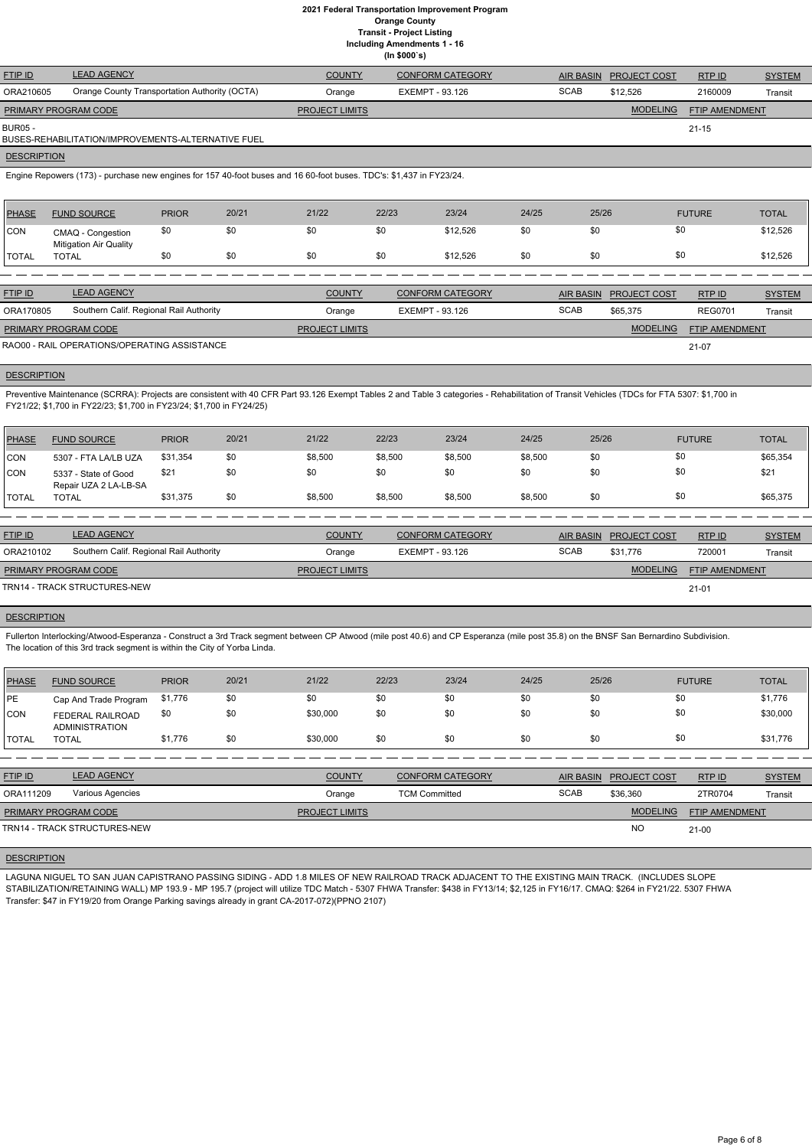**Including Amendments 1 - 16**

|  | יייש בייטוייטוויידי |  |
|--|---------------------|--|
|  | (ln \$000's)        |  |

| <b>FTIP ID</b>              | <b>LEAD AGENCY</b>                                 | <b>COUNTY</b>         | <b>CONFORM CATEGORY</b> | AIR BASIN   | <b>PROJECT COST</b> | RTPID                 | <b>SYSTEM</b> |
|-----------------------------|----------------------------------------------------|-----------------------|-------------------------|-------------|---------------------|-----------------------|---------------|
| ORA210605                   | Orange County Transportation Authority (OCTA)      | Orange                | EXEMPT - 93.126         | <b>SCAB</b> | \$12,526            | 2160009               | Transit       |
| <b>PRIMARY PROGRAM CODE</b> |                                                    | <b>PROJECT LIMITS</b> |                         |             | <b>MODELING</b>     | <b>FTIP AMENDMENT</b> |               |
| BUR05 -                     | BUSES-REHABILITATION/IMPROVEMENTS-ALTERNATIVE FUEL |                       |                         |             |                     | 21-15                 |               |

#### **DESCRIPTION**

Engine Repowers (173) - purchase new engines for 157 40-foot buses and 16 60-foot buses. TDC's: \$1,437 in FY23/24.

Preventive Maintenance (SCRRA): Projects are consistent with 40 CFR Part 93.126 Exempt Tables 2 and Table 3 categories - Rehabilitation of Transit Vehicles (TDCs for FTA 5307: \$1,700 in FY21/22; \$1,700 in FY22/23; \$1,700 in FY23/24; \$1,700 in FY24/25)

| PHASE        | <b>FUND SOURCE</b>                                 | <b>PRIOR</b> | 20/21 | 21/22 | 22/23 | 23/24    | 24/25 | 25/26 | <b>FUTURE</b> | <b>TOTAL</b> |
|--------------|----------------------------------------------------|--------------|-------|-------|-------|----------|-------|-------|---------------|--------------|
| <b>CON</b>   | CMAQ - Congestion<br><b>Mitigation Air Quality</b> | \$0          | \$0   | \$0   |       | \$12,526 | \$0   | \$0   | \$0           | \$12,526     |
| <b>TOTAL</b> | TOTAL                                              |              | \$0   | \$0   |       | \$12,526 | \$0   | \$0   | \$0           | \$12,526     |

| <b>FTIP ID</b>              | <b>LEAD AGENCY</b>                           | <b>COUNTY</b>         | CONFORM CATEGORY |             | AIR BASIN PROJECT COST | RTPID                 | <b>SYSTEM</b> |
|-----------------------------|----------------------------------------------|-----------------------|------------------|-------------|------------------------|-----------------------|---------------|
| ORA170805                   | Southern Calif. Regional Rail Authority      | Orange                | EXEMPT - 93.126  | <b>SCAB</b> | \$65,375               | <b>REG0701</b>        | Transit       |
| <b>PRIMARY PROGRAM CODE</b> |                                              | <b>PROJECT LIMITS</b> |                  |             | <b>MODELING</b>        | <b>FTIP AMENDMENT</b> |               |
|                             | RAO00 - RAIL OPERATIONS/OPERATING ASSISTANCE |                       |                  |             |                        | 21-07                 |               |

### **DESCRIPTION**

| <b>PHASE</b> | <b>FUND SOURCE</b>                            | <b>PRIOR</b> | 20/21 | 21/22   | 22/23   | 23/24   | 24/25   | 25/26 | <b>FUTURE</b> | <b>TOTAL</b> |
|--------------|-----------------------------------------------|--------------|-------|---------|---------|---------|---------|-------|---------------|--------------|
| <b>CON</b>   | 5307 - FTA LA/LB UZA                          | \$31,354     | \$0   | \$8,500 | \$8,500 | \$8,500 | \$8,500 | \$0   | \$0           | \$65,354     |
| <b>CON</b>   | 5337 - State of Good<br>Repair UZA 2 LA-LB-SA | \$21         | \$0   | \$0     | \$0     | \$0     | \$0     | \$0   | \$0           | \$21         |
| <b>TOTAL</b> | <b>TOTAL</b>                                  | \$31,375     | \$0   | \$8,500 | \$8,500 | \$8,500 | \$8,500 | \$0   | \$0           | \$65,375     |

| <b>FTIP ID</b>       | <b>LEAD AGENCY</b>                      | <b>COUNTY</b>         | <b>CONFORM CATEGORY</b> | AIR BASIN   | <b>PROJECT COST</b> | <b>RTP ID</b>         | <b>SYSTEM</b> |
|----------------------|-----------------------------------------|-----------------------|-------------------------|-------------|---------------------|-----------------------|---------------|
| ORA210102            | Southern Calif. Regional Rail Authority | Orange                | EXEMPT - 93.126         | <b>SCAB</b> | \$31.776            | 720001                | Transit       |
| PRIMARY PROGRAM CODE |                                         | <b>PROJECT LIMITS</b> |                         |             | <b>MODELING</b>     | <b>FTIP AMENDMENT</b> |               |
|                      | TRN14 - TRACK STRUCTURES-NEW            |                       |                         |             |                     | $21 - 01$             |               |

# **DESCRIPTION**

Fullerton Interlocking/Atwood-Esperanza - Construct a 3rd Track segment between CP Atwood (mile post 40.6) and CP Esperanza (mile post 35.8) on the BNSF San Bernardino Subdivision. The location of this 3rd track segment is within the City of Yorba Linda.

| PHASE          | <b>FUND SOURCE</b>                 | <b>PRIOR</b> | 20/21 | 21/22    | 22/23 | 23/24 | 24/25 | 25/26 | <b>FUTURE</b> | <b>TOTAL</b> |
|----------------|------------------------------------|--------------|-------|----------|-------|-------|-------|-------|---------------|--------------|
| <b>IPE</b>     | Cap And Trade Program              | \$1,776      | \$0   | \$0      | \$0   | \$0   | \$0   | \$0   | \$0           | \$1,776      |
| <b>CON</b>     | FEDERAL RAILROAD<br>ADMINISTRATION | \$0          | \$0   | \$30,000 | \$0   | \$0   | \$0   | \$0   | \$0           | \$30,000     |
| <b>I</b> TOTAL | TOTAL                              | \$1,776      | \$0   | \$30,000 | \$0   | \$0   | \$0   | \$0   | \$0           | \$31,776     |

| <b>FTIP ID</b>              | <b>LEAD AGENCY</b>           | <b>COUNTY</b>         | <b>CONFORM CATEGORY</b> |             | AIR BASIN PROJECT COST | RTP ID         | <b>SYSTEM</b> |
|-----------------------------|------------------------------|-----------------------|-------------------------|-------------|------------------------|----------------|---------------|
| ORA111209                   | Various Agencies             | Orange                | <b>TCM Committed</b>    | <b>SCAB</b> | \$36,360               | 2TR0704        | Transit       |
| <b>PRIMARY PROGRAM CODE</b> |                              | <b>PROJECT LIMITS</b> |                         |             | <b>MODELING</b>        | FTIP AMENDMENT |               |
|                             | TRN14 - TRACK STRUCTURES-NEW |                       |                         |             | <b>NC</b>              | $21 - 00$      |               |

LAGUNA NIGUEL TO SAN JUAN CAPISTRANO PASSING SIDING - ADD 1.8 MILES OF NEW RAILROAD TRACK ADJACENT TO THE EXISTING MAIN TRACK. (INCLUDES SLOPE STABILIZATION/RETAINING WALL) MP 193.9 - MP 195.7 (project will utilize TDC Match - 5307 FHWA Transfer: \$438 in FY13/14; \$2,125 in FY16/17. CMAQ: \$264 in FY21/22. 5307 FHWA Transfer: \$47 in FY19/20 from Orange Parking savings already in grant CA-2017-072)(PPNO 2107)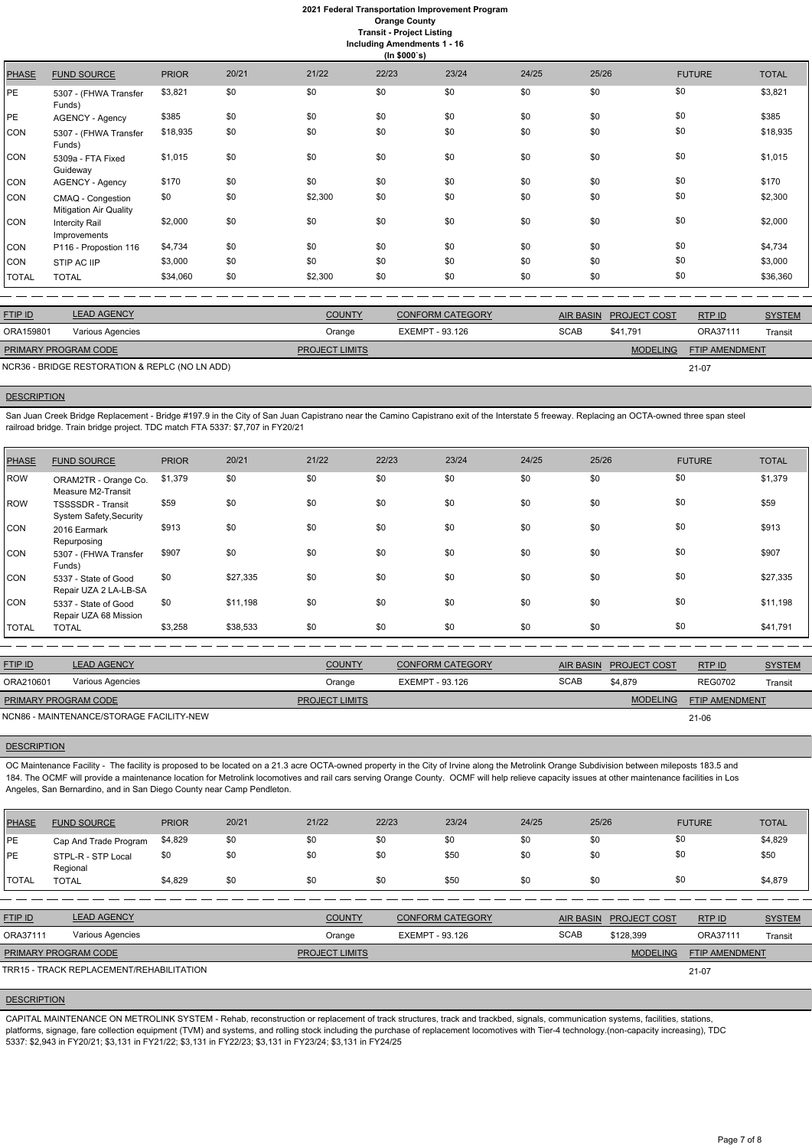**Including Amendments 1 - 16**

| ng Amendments |
|---------------|
|---------------|

|              | (ln \$000's)                                       |              |       |         |       |       |       |       |               |              |  |
|--------------|----------------------------------------------------|--------------|-------|---------|-------|-------|-------|-------|---------------|--------------|--|
| <b>PHASE</b> | <b>FUND SOURCE</b>                                 | <b>PRIOR</b> | 20/21 | 21/22   | 22/23 | 23/24 | 24/25 | 25/26 | <b>FUTURE</b> | <b>TOTAL</b> |  |
| PE           | 5307 - (FHWA Transfer<br>Funds)                    | \$3,821      | \$0   | \$0     | \$0   | \$0   | \$0   | \$0   | \$0           | \$3,821      |  |
| PE           | AGENCY - Agency                                    | \$385        | \$0   | \$0     | \$0   | \$0   | \$0   | \$0   | \$0           | \$385        |  |
| CON          | 5307 - (FHWA Transfer<br>Funds)                    | \$18,935     | \$0   | \$0     | \$0   | \$0   | \$0   | \$0   | \$0           | \$18,935     |  |
| CON          | 5309a - FTA Fixed<br>Guideway                      | \$1,015      | \$0   | \$0     | \$0   | \$0   | \$0   | \$0   | \$0           | \$1,015      |  |
| CON          | <b>AGENCY - Agency</b>                             | \$170        | \$0   | \$0     | \$0   | \$0   | \$0   | \$0   | \$0           | \$170        |  |
| CON          | CMAQ - Congestion<br><b>Mitigation Air Quality</b> | \$0          | \$0   | \$2,300 | \$0   | \$0   | \$0   | \$0   | \$0           | \$2,300      |  |
| CON          | <b>Intercity Rail</b><br>Improvements              | \$2,000      | \$0   | \$0     | \$0   | \$0   | \$0   | \$0   | \$0           | \$2,000      |  |
| CON          | P116 - Propostion 116                              | \$4,734      | \$0   | \$0     | \$0   | \$0   | \$0   | \$0   | \$0           | \$4,734      |  |
| CON          | STIP AC IIP                                        | \$3,000      | \$0   | \$0     | \$0   | \$0   | \$0   | \$0   | \$0           | \$3,000      |  |
| <b>TOTAL</b> | <b>TOTAL</b>                                       | \$34,060     | \$0   | \$2,300 | \$0   | \$0   | \$0   | \$0   | \$0           | \$36,360     |  |

San Juan Creek Bridge Replacement - Bridge #197.9 in the City of San Juan Capistrano near the Camino Capistrano exit of the Interstate 5 freeway. Replacing an OCTA-owned three span steel railroad bridge. Train bridge project. TDC match FTA 5337: \$7,707 in FY20/21

| <b>FTIP ID</b>              | <b>LEAD AGENCY</b>                             | <b>COUNTY</b>         | <b>CONFORM CATEGORY</b> | AIR BASIN   | <b>PROJECT COST</b> | RTP ID                | <b>SYSTEM</b> |
|-----------------------------|------------------------------------------------|-----------------------|-------------------------|-------------|---------------------|-----------------------|---------------|
| ORA159801                   | Various Agencies                               | Orange                | EXEMPT - 93.126         | <b>SCAB</b> | \$41.791            | ORA37111              | Transit       |
| <b>PRIMARY PROGRAM CODE</b> |                                                | <b>PROJECT LIMITS</b> |                         |             | <b>MODELING</b>     | <b>FTIP AMENDMENT</b> |               |
|                             | NCR36 - BRIDGE RESTORATION & REPLC (NO LN ADD) |                       |                         |             |                     | $21 - 07$             |               |

#### **DESCRIPTION**

FTIP ID LEAD AGENCY COUNTY COUNTY CONFORM CATEGORY AIR BASIN PROJECT COST RTP ID SYSTEM **MODELING** PROJECT COST FTIP AMENDMENT RTP ID ORA210601 Various Agencies Orange EXEMPT - 93.126 SCAB \$4,879 REG0702 Transit **PROJECT LIMITS** PRIMARY PROGRAM CODE

OC Maintenance Facility - The facility is proposed to be located on a 21.3 acre OCTA-owned property in the City of Irvine along the Metrolink Orange Subdivision between mileposts 183.5 and 184. The OCMF will provide a maintenance location for Metrolink locomotives and rail cars serving Orange County. OCMF will help relieve capacity issues at other maintenance facilities in Los Angeles, San Bernardino, and in San Diego County near Camp Pendleton.

| PHASE      | <b>FUND SOURCE</b>                                  | <b>PRIOR</b> | 20/21    | 21/22 | 22/23 | 23/24 | 24/25 | 25/26 | <b>FUTURE</b> | <b>TOTAL</b> |
|------------|-----------------------------------------------------|--------------|----------|-------|-------|-------|-------|-------|---------------|--------------|
| <b>ROW</b> | ORAM2TR - Orange Co.<br>Measure M2-Transit          | \$1,379      | \$0      | \$0   | \$0   | \$0   | \$0   | \$0   | \$0           | \$1,379      |
| ROW        | <b>TSSSSDR</b> - Transit<br>System Safety, Security | \$59         | \$0      | \$0   | \$0   | \$0   | \$0   | \$0   | \$0           | \$59         |
| CON        | 2016 Earmark<br>Repurposing                         | \$913        | \$0      | \$0   | \$0   | \$0   | \$0   | \$0   | \$0           | \$913        |
| CON        | 5307 - (FHWA Transfer<br>Funds)                     | \$907        | \$0      | \$0   | \$0   | \$0   | \$0   | \$0   | \$0           | \$907        |
| CON        | 5337 - State of Good<br>Repair UZA 2 LA-LB-SA       | \$0          | \$27,335 | \$0   | \$0   | \$0   | \$0   | \$0   | \$0           | \$27,335     |
| <b>CON</b> | 5337 - State of Good<br>Repair UZA 68 Mission       | \$0          | \$11,198 | \$0   | \$0   | \$0   | \$0   | \$0   | \$0           | \$11,198     |
| TOTAL      | <b>TOTAL</b>                                        | \$3,258      | \$38,533 | \$0   | \$0   | \$0   | \$0   | \$0   | \$0           | \$41,791     |

21-06

NCN86 - MAINTENANCE/STORAGE FACILITY-NEW

### **DESCRIPTION**

| PHASE | <b>FUND SOURCE</b>    | <b>PRIOR</b> | 20/21 | 21/22 | 22/23 | 23/24 | 24/25 | 25/26 | <b>FUTURE</b> | <b>TOTAL</b> |
|-------|-----------------------|--------------|-------|-------|-------|-------|-------|-------|---------------|--------------|
| l PE  | Cap And Trade Program | \$4,829      | \$0   |       |       |       |       |       |               | \$4,829      |
| PE    | STPL-R - STP Local    | \$0          |       | \$0   |       | \$50  |       |       |               | \$50         |

| :4,829<br>1 Q70<br>C<br>$\mathbf{r}$<br>\$0<br>æ,<br><b>TOTAL</b><br>_⊍∪ພ<br>$5 - 101$<br>AD U |       | __<br>Regional |  |  |  |  |  |
|------------------------------------------------------------------------------------------------|-------|----------------|--|--|--|--|--|
|                                                                                                | TOTAL |                |  |  |  |  |  |

| <b>FTIP ID</b>              | <b>LEAD AGENCY</b>                       | <b>COUNTY</b>         | <b>CONFORM CATEGORY</b> | AIR BASIN   | <b>PROJECT COST</b> | RTPID                 | <b>SYSTEM</b> |
|-----------------------------|------------------------------------------|-----------------------|-------------------------|-------------|---------------------|-----------------------|---------------|
| ORA37111                    | Various Agencies                         | Orange                | EXEMPT - 93.126         | <b>SCAB</b> | \$128.399           | ORA37111              | Transit       |
| <b>PRIMARY PROGRAM CODE</b> |                                          | <b>PROJECT LIMITS</b> |                         |             | <b>MODELING</b>     | <b>FTIP AMENDMENT</b> |               |
|                             | TRR15 - TRACK REPLACEMENT/REHABILITATION |                       |                         |             |                     | 21-07                 |               |

#### **DESCRIPTION**

CAPITAL MAINTENANCE ON METROLINK SYSTEM - Rehab, reconstruction or replacement of track structures, track and trackbed, signals, communication systems, facilities, stations, platforms, signage, fare collection equipment (TVM) and systems, and rolling stock including the purchase of replacement locomotives with Tier-4 technology.(non-capacity increasing), TDC 5337: \$2,943 in FY20/21; \$3,131 in FY21/22; \$3,131 in FY22/23; \$3,131 in FY23/24; \$3,131 in FY24/25